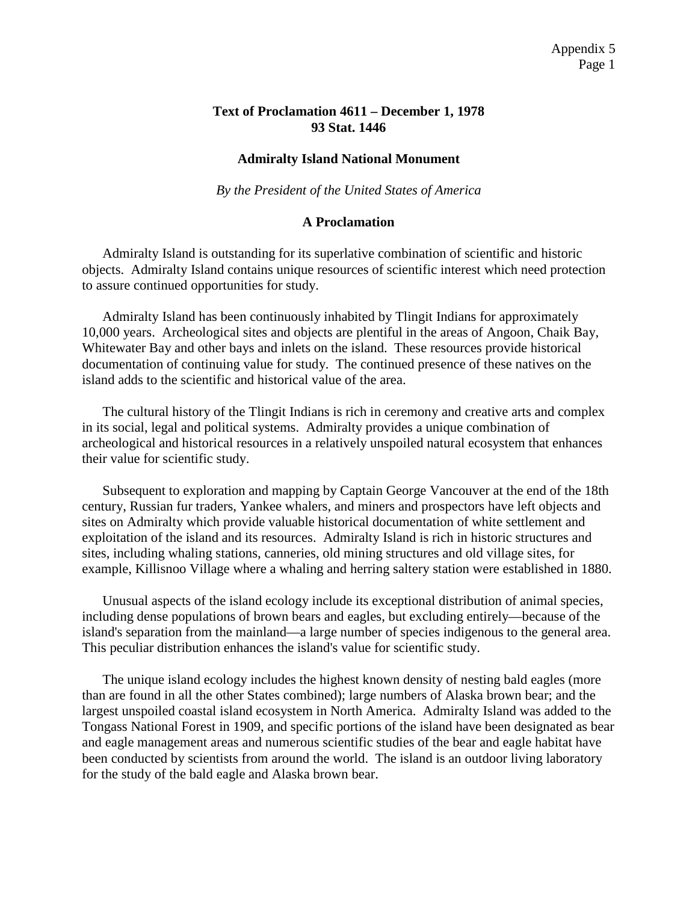## **Text of Proclamation 4611 – December 1, 1978 93 Stat. 1446**

## **Admiralty Island National Monument**

*By the President of the United States of America*

## **A Proclamation**

Admiralty Island is outstanding for its superlative combination of scientific and historic objects. Admiralty Island contains unique resources of scientific interest which need protection to assure continued opportunities for study.

Admiralty Island has been continuously inhabited by Tlingit Indians for approximately 10,000 years. Archeological sites and objects are plentiful in the areas of Angoon, Chaik Bay, Whitewater Bay and other bays and inlets on the island. These resources provide historical documentation of continuing value for study. The continued presence of these natives on the island adds to the scientific and historical value of the area.

The cultural history of the Tlingit Indians is rich in ceremony and creative arts and complex in its social, legal and political systems. Admiralty provides a unique combination of archeological and historical resources in a relatively unspoiled natural ecosystem that enhances their value for scientific study.

Subsequent to exploration and mapping by Captain George Vancouver at the end of the 18th century, Russian fur traders, Yankee whalers, and miners and prospectors have left objects and sites on Admiralty which provide valuable historical documentation of white settlement and exploitation of the island and its resources. Admiralty Island is rich in historic structures and sites, including whaling stations, canneries, old mining structures and old village sites, for example, Killisnoo Village where a whaling and herring saltery station were established in 1880.

Unusual aspects of the island ecology include its exceptional distribution of animal species, including dense populations of brown bears and eagles, but excluding entirely—because of the island's separation from the mainland—a large number of species indigenous to the general area. This peculiar distribution enhances the island's value for scientific study.

The unique island ecology includes the highest known density of nesting bald eagles (more than are found in all the other States combined); large numbers of Alaska brown bear; and the largest unspoiled coastal island ecosystem in North America. Admiralty Island was added to the Tongass National Forest in 1909, and specific portions of the island have been designated as bear and eagle management areas and numerous scientific studies of the bear and eagle habitat have been conducted by scientists from around the world. The island is an outdoor living laboratory for the study of the bald eagle and Alaska brown bear.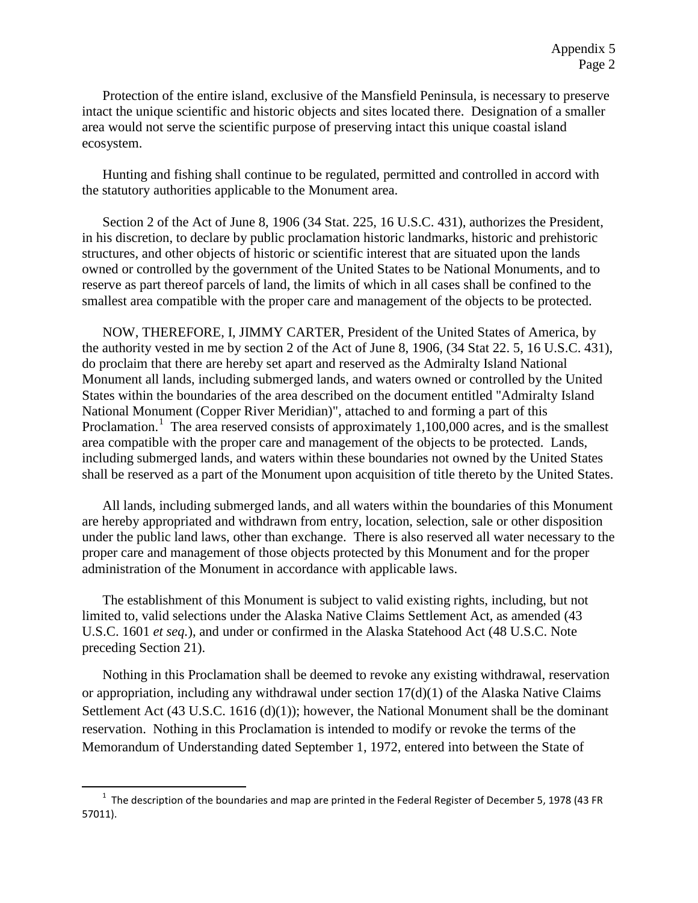Protection of the entire island, exclusive of the Mansfield Peninsula, is necessary to preserve intact the unique scientific and historic objects and sites located there. Designation of a smaller area would not serve the scientific purpose of preserving intact this unique coastal island ecosystem.

Hunting and fishing shall continue to be regulated, permitted and controlled in accord with the statutory authorities applicable to the Monument area.

Section 2 of the Act of June 8, 1906 (34 Stat. 225, 16 U.S.C. 431), authorizes the President, in his discretion, to declare by public proclamation historic landmarks, historic and prehistoric structures, and other objects of historic or scientific interest that are situated upon the lands owned or controlled by the government of the United States to be National Monuments, and to reserve as part thereof parcels of land, the limits of which in all cases shall be confined to the smallest area compatible with the proper care and management of the objects to be protected.

NOW, THEREFORE, I, JIMMY CARTER, President of the United States of America, by the authority vested in me by section 2 of the Act of June 8, 1906, (34 Stat 22. 5, 16 U.S.C. 431), do proclaim that there are hereby set apart and reserved as the Admiralty Island National Monument all lands, including submerged lands, and waters owned or controlled by the United States within the boundaries of the area described on the document entitled "Admiralty Island National Monument (Copper River Meridian)", attached to and forming a part of this Proclamation.<sup>[1](#page-1-0)</sup> The area reserved consists of approximately 1,100,000 acres, and is the smallest area compatible with the proper care and management of the objects to be protected. Lands, including submerged lands, and waters within these boundaries not owned by the United States shall be reserved as a part of the Monument upon acquisition of title thereto by the United States.

All lands, including submerged lands, and all waters within the boundaries of this Monument are hereby appropriated and withdrawn from entry, location, selection, sale or other disposition under the public land laws, other than exchange. There is also reserved all water necessary to the proper care and management of those objects protected by this Monument and for the proper administration of the Monument in accordance with applicable laws.

The establishment of this Monument is subject to valid existing rights, including, but not limited to, valid selections under the Alaska Native Claims Settlement Act, as amended (43 U.S.C. 1601 *et seq.*), and under or confirmed in the Alaska Statehood Act (48 U.S.C. Note preceding Section 21).

Nothing in this Proclamation shall be deemed to revoke any existing withdrawal, reservation or appropriation, including any withdrawal under section  $17(d)(1)$  of the Alaska Native Claims Settlement Act (43 U.S.C. 1616 (d)(1)); however, the National Monument shall be the dominant reservation. Nothing in this Proclamation is intended to modify or revoke the terms of the Memorandum of Understanding dated September 1, 1972, entered into between the State of

 $\overline{\phantom{a}}$ 

<span id="page-1-0"></span><sup>&</sup>lt;sup>1</sup> The description of the boundaries and map are printed in the Federal Register of December 5, 1978 (43 FR 57011).